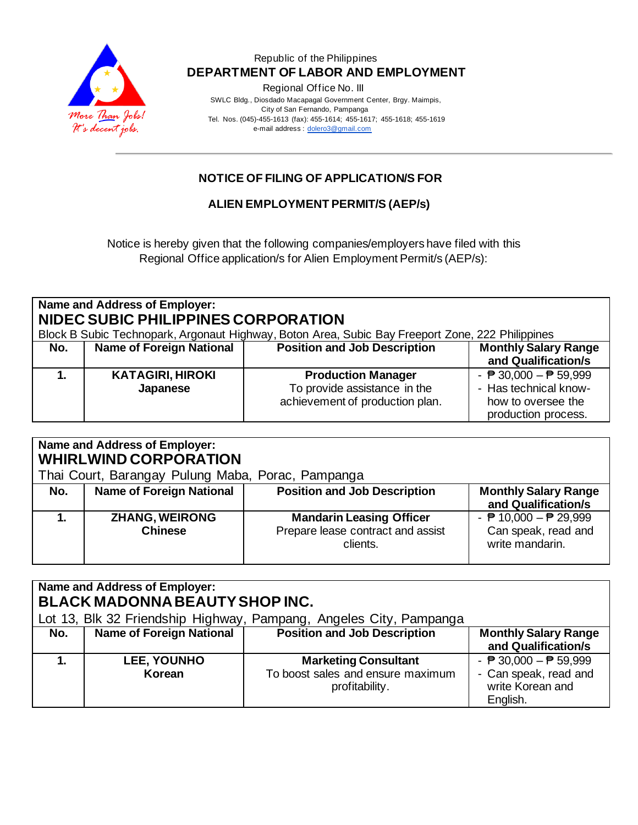

Regional Office No. III

 SWLC Bldg., Diosdado Macapagal Government Center, Brgy. Maimpis, City of San Fernando, Pampanga Tel. Nos. (045)-455-1613 (fax): 455-1614; 455-1617; 455-1618; 455-1619 e-mail address [: dolero3@gmail.com](mailto:dolero3@gmail.com)

# **NOTICE OF FILING OF APPLICATION/S FOR**

**ALIEN EMPLOYMENT PERMIT/S (AEP/s)**

Notice is hereby given that the following companies/employers have filed with this Regional Office application/s for Alien Employment Permit/s (AEP/s):

| Name and Address of Employer:<br>NIDEC SUBIC PHILIPPINES CORPORATION<br>Block B Subic Technopark, Argonaut Highway, Boton Area, Subic Bay Freeport Zone, 222 Philippines |                                     |                                                                                              |                                                                                                                       |
|--------------------------------------------------------------------------------------------------------------------------------------------------------------------------|-------------------------------------|----------------------------------------------------------------------------------------------|-----------------------------------------------------------------------------------------------------------------------|
| No.                                                                                                                                                                      | <b>Name of Foreign National</b>     | <b>Position and Job Description</b>                                                          | <b>Monthly Salary Range</b><br>and Qualification/s                                                                    |
|                                                                                                                                                                          | <b>KATAGIRI, HIROKI</b><br>Japanese | <b>Production Manager</b><br>To provide assistance in the<br>achievement of production plan. | - $\overline{P}$ 30,000 - $\overline{P}$ 59,999<br>- Has technical know-<br>how to oversee the<br>production process. |

| Name and Address of Employer:<br><b>WHIRLWIND CORPORATION</b> |                                 |                                     |                                                 |  |
|---------------------------------------------------------------|---------------------------------|-------------------------------------|-------------------------------------------------|--|
| Thai Court, Barangay Pulung Maba, Porac, Pampanga             |                                 |                                     |                                                 |  |
| No.                                                           | <b>Name of Foreign National</b> | <b>Position and Job Description</b> | <b>Monthly Salary Range</b>                     |  |
|                                                               |                                 |                                     | and Qualification/s                             |  |
|                                                               | <b>ZHANG, WEIRONG</b>           | <b>Mandarin Leasing Officer</b>     | - $\overline{P}$ 10,000 - $\overline{P}$ 29,999 |  |
|                                                               | <b>Chinese</b>                  | Prepare lease contract and assist   | Can speak, read and                             |  |
|                                                               |                                 | clients.                            | write mandarin.                                 |  |
|                                                               |                                 |                                     |                                                 |  |

| Name and Address of Employer:<br><b>BLACK MADONNA BEAUTY SHOP INC.</b><br>Lot 13, Blk 32 Friendship Highway, Pampang, Angeles City, Pampanga |                                 |                                                                                    |                                                                                                          |  |
|----------------------------------------------------------------------------------------------------------------------------------------------|---------------------------------|------------------------------------------------------------------------------------|----------------------------------------------------------------------------------------------------------|--|
| No.                                                                                                                                          | <b>Name of Foreign National</b> | <b>Position and Job Description</b>                                                | <b>Monthly Salary Range</b><br>and Qualification/s                                                       |  |
|                                                                                                                                              | <b>LEE, YOUNHO</b><br>Korean    | <b>Marketing Consultant</b><br>To boost sales and ensure maximum<br>profitability. | - $\overline{P}$ 30,000 - $\overline{P}$ 59,999<br>- Can speak, read and<br>write Korean and<br>English. |  |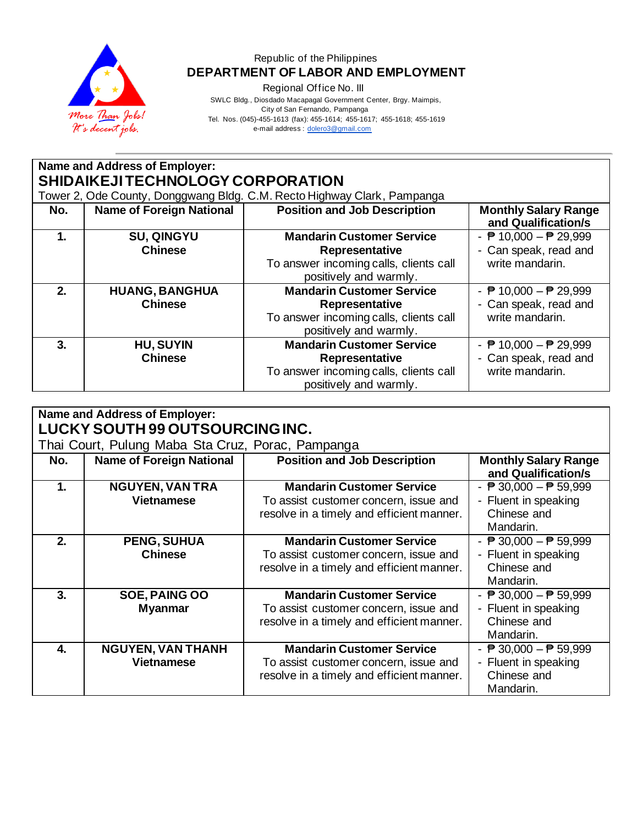

Regional Office No. III

 SWLC Bldg., Diosdado Macapagal Government Center, Brgy. Maimpis, City of San Fernando, Pampanga

Tel. Nos. (045)-455-1613 (fax): 455-1614; 455-1617; 455-1618; 455-1619

e-mail address [: dolero3@gmail.com](mailto:dolero3@gmail.com)

| <b>Name and Address of Employer:</b> |                                 |                                                                         |                                                    |  |  |
|--------------------------------------|---------------------------------|-------------------------------------------------------------------------|----------------------------------------------------|--|--|
| SHIDAIKEJITECHNOLOGY CORPORATION     |                                 |                                                                         |                                                    |  |  |
|                                      |                                 | Tower 2, Ode County, Donggwang Bldg. C.M. Recto Highway Clark, Pampanga |                                                    |  |  |
| No.                                  | <b>Name of Foreign National</b> | <b>Position and Job Description</b>                                     | <b>Monthly Salary Range</b><br>and Qualification/s |  |  |
| 1.                                   | <b>SU, QINGYU</b>               | <b>Mandarin Customer Service</b>                                        | - $\overline{P}$ 10,000 - $\overline{P}$ 29,999    |  |  |
|                                      | <b>Chinese</b>                  | Representative                                                          | - Can speak, read and                              |  |  |
|                                      |                                 | To answer incoming calls, clients call                                  | write mandarin.                                    |  |  |
|                                      |                                 | positively and warmly.                                                  |                                                    |  |  |
| 2.                                   | <b>HUANG, BANGHUA</b>           | <b>Mandarin Customer Service</b>                                        | - $\overline{P}$ 10,000 - $\overline{P}$ 29,999    |  |  |
|                                      | <b>Chinese</b>                  | Representative                                                          | - Can speak, read and                              |  |  |
|                                      |                                 | To answer incoming calls, clients call                                  | write mandarin.                                    |  |  |
|                                      |                                 | positively and warmly.                                                  |                                                    |  |  |
| 3.                                   | <b>HU, SUYIN</b>                | <b>Mandarin Customer Service</b>                                        | - $\overline{P}$ 10,000 - $\overline{P}$ 29,999    |  |  |
|                                      | <b>Chinese</b>                  | Representative                                                          | - Can speak, read and                              |  |  |
|                                      |                                 | To answer incoming calls, clients call<br>positively and warmly.        | write mandarin.                                    |  |  |

| <b>Name and Address of Employer:</b><br>LUCKY SOUTH 99 OUTSOURCING INC. |                                                   |                                           |                                                    |  |
|-------------------------------------------------------------------------|---------------------------------------------------|-------------------------------------------|----------------------------------------------------|--|
|                                                                         | Thai Court, Pulung Maba Sta Cruz, Porac, Pampanga |                                           |                                                    |  |
| No.                                                                     | <b>Name of Foreign National</b>                   | <b>Position and Job Description</b>       | <b>Monthly Salary Range</b><br>and Qualification/s |  |
| 1.                                                                      | <b>NGUYEN, VAN TRA</b>                            | <b>Mandarin Customer Service</b>          | - $\overline{P}$ 30,000 - $\overline{P}$ 59,999    |  |
|                                                                         | <b>Vietnamese</b>                                 | To assist customer concern, issue and     | - Fluent in speaking                               |  |
|                                                                         |                                                   | resolve in a timely and efficient manner. | Chinese and                                        |  |
|                                                                         |                                                   |                                           | Mandarin.                                          |  |
| 2.                                                                      | <b>PENG, SUHUA</b>                                | <b>Mandarin Customer Service</b>          | - $\overline{P}$ 30,000 - $\overline{P}$ 59,999    |  |
|                                                                         | <b>Chinese</b>                                    | To assist customer concern, issue and     | - Fluent in speaking                               |  |
|                                                                         |                                                   | resolve in a timely and efficient manner. | Chinese and                                        |  |
|                                                                         |                                                   |                                           | Mandarin.                                          |  |
| 3.                                                                      | SOE, PAING OO                                     | <b>Mandarin Customer Service</b>          | - $\overline{P}$ 30,000 - $\overline{P}$ 59,999    |  |
|                                                                         | <b>Myanmar</b>                                    | To assist customer concern, issue and     | - Fluent in speaking                               |  |
|                                                                         |                                                   | resolve in a timely and efficient manner. | Chinese and                                        |  |
|                                                                         |                                                   |                                           | Mandarin.                                          |  |
| $\mathbf{4}$                                                            | <b>NGUYEN, VAN THANH</b>                          | <b>Mandarin Customer Service</b>          | - $\overline{P}$ 30,000 - $\overline{P}$ 59,999    |  |
|                                                                         | <b>Vietnamese</b>                                 | To assist customer concern, issue and     | - Fluent in speaking                               |  |
|                                                                         |                                                   | resolve in a timely and efficient manner. | Chinese and                                        |  |
|                                                                         |                                                   |                                           | Mandarin.                                          |  |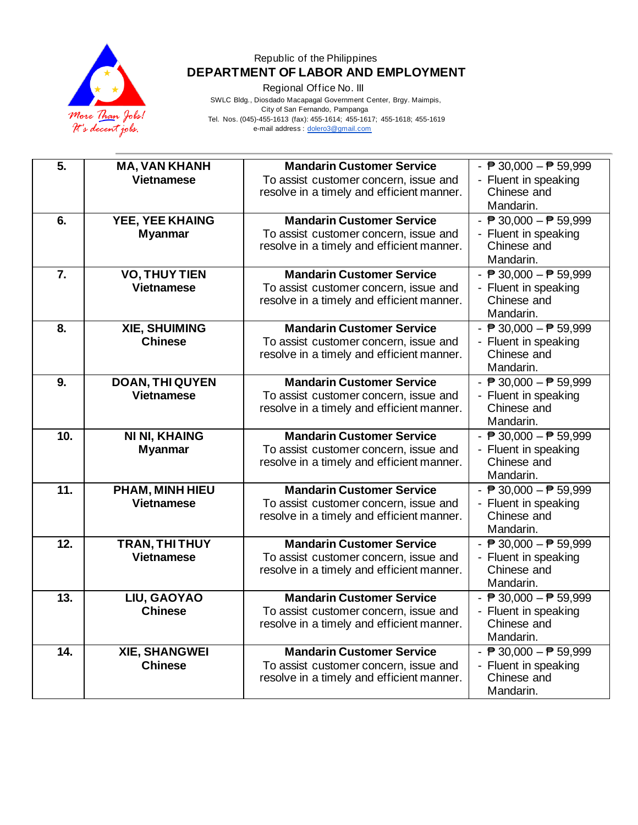

Regional Office No. III

 SWLC Bldg., Diosdado Macapagal Government Center, Brgy. Maimpis, City of San Fernando, Pampanga Tel. Nos. (045)-455-1613 (fax): 455-1614; 455-1617; 455-1618; 455-1619 e-mail address [: dolero3@gmail.com](mailto:dolero3@gmail.com)

| 5.  | <b>MA, VAN KHANH</b><br><b>Vietnamese</b>   | <b>Mandarin Customer Service</b><br>To assist customer concern, issue and<br>resolve in a timely and efficient manner. | - $\overline{P}$ 30,000 - $\overline{P}$ 59,999<br>- Fluent in speaking<br>Chinese and              |
|-----|---------------------------------------------|------------------------------------------------------------------------------------------------------------------------|-----------------------------------------------------------------------------------------------------|
|     |                                             |                                                                                                                        | Mandarin.                                                                                           |
| 6.  | YEE, YEE KHAING<br><b>Myanmar</b>           | <b>Mandarin Customer Service</b><br>To assist customer concern, issue and<br>resolve in a timely and efficient manner. | - $\overline{P}$ 30,000 - $\overline{P}$ 59,999<br>- Fluent in speaking<br>Chinese and<br>Mandarin. |
| 7.  | <b>VO, THUY TIEN</b><br><b>Vietnamese</b>   | <b>Mandarin Customer Service</b><br>To assist customer concern, issue and<br>resolve in a timely and efficient manner. | - $\overline{P}$ 30,000 - $\overline{P}$ 59,999<br>- Fluent in speaking<br>Chinese and<br>Mandarin. |
| 8.  | <b>XIE, SHUIMING</b><br><b>Chinese</b>      | <b>Mandarin Customer Service</b><br>To assist customer concern, issue and<br>resolve in a timely and efficient manner. | - $\sqrt{P}$ 30,000 - $\sqrt{P}$ 59,999<br>- Fluent in speaking<br>Chinese and<br>Mandarin.         |
| 9.  | <b>DOAN, THI QUYEN</b><br><b>Vietnamese</b> | <b>Mandarin Customer Service</b><br>To assist customer concern, issue and<br>resolve in a timely and efficient manner. | - $\overline{P}$ 30,000 - $\overline{P}$ 59,999<br>- Fluent in speaking<br>Chinese and<br>Mandarin. |
| 10. | <b>NI NI, KHAING</b><br><b>Myanmar</b>      | <b>Mandarin Customer Service</b><br>To assist customer concern, issue and<br>resolve in a timely and efficient manner. | - $\overline{P}$ 30,000 - $\overline{P}$ 59,999<br>- Fluent in speaking<br>Chinese and<br>Mandarin. |
| 11. | PHAM, MINH HIEU<br><b>Vietnamese</b>        | <b>Mandarin Customer Service</b><br>To assist customer concern, issue and<br>resolve in a timely and efficient manner. | - $\overline{P}$ 30,000 - $\overline{P}$ 59,999<br>- Fluent in speaking<br>Chinese and<br>Mandarin. |
| 12. | TRAN, THI THUY<br><b>Vietnamese</b>         | <b>Mandarin Customer Service</b><br>To assist customer concern, issue and<br>resolve in a timely and efficient manner. | - $\overline{P}$ 30,000 - $\overline{P}$ 59,999<br>- Fluent in speaking<br>Chinese and<br>Mandarin. |
| 13. | LIU, GAOYAO<br><b>Chinese</b>               | <b>Mandarin Customer Service</b><br>To assist customer concern, issue and<br>resolve in a timely and efficient manner. | - $\overline{P}$ 30,000 - $\overline{P}$ 59,999<br>- Fluent in speaking<br>Chinese and<br>Mandarin. |
| 14. | <b>XIE, SHANGWEI</b><br><b>Chinese</b>      | <b>Mandarin Customer Service</b><br>To assist customer concern, issue and<br>resolve in a timely and efficient manner. | - $\overline{P}$ 30,000 - $\overline{P}$ 59,999<br>- Fluent in speaking<br>Chinese and<br>Mandarin. |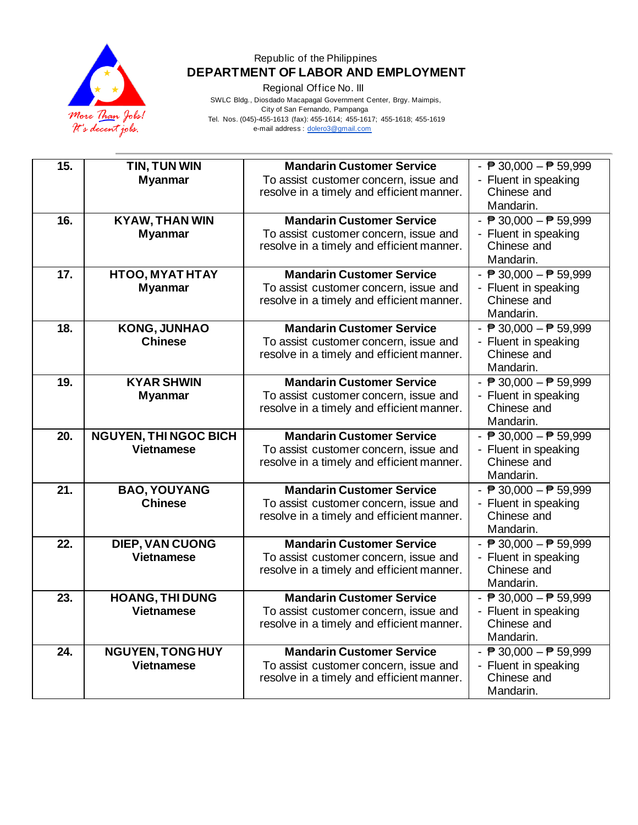

Regional Office No. III

 SWLC Bldg., Diosdado Macapagal Government Center, Brgy. Maimpis, City of San Fernando, Pampanga Tel. Nos. (045)-455-1613 (fax): 455-1614; 455-1617; 455-1618; 455-1619 e-mail address [: dolero3@gmail.com](mailto:dolero3@gmail.com)

| 15.<br>16.<br>17. | TIN, TUN WIN<br><b>Myanmar</b><br><b>KYAW, THAN WIN</b><br><b>Myanmar</b><br><b>HTOO, MYAT HTAY</b><br><b>Myanmar</b> | <b>Mandarin Customer Service</b><br>To assist customer concern, issue and<br>resolve in a timely and efficient manner.<br><b>Mandarin Customer Service</b><br>To assist customer concern, issue and<br>resolve in a timely and efficient manner.<br><b>Mandarin Customer Service</b><br>To assist customer concern, issue and | - $\overline{P}$ 30,000 - $\overline{P}$ 59,999<br>- Fluent in speaking<br>Chinese and<br>Mandarin.<br>- $\overline{P}$ 30,000 - $\overline{P}$ 59,999<br>- Fluent in speaking<br>Chinese and<br>Mandarin.<br>- $\overline{P}$ 30,000 - $\overline{P}$ 59,999<br>- Fluent in speaking |
|-------------------|-----------------------------------------------------------------------------------------------------------------------|-------------------------------------------------------------------------------------------------------------------------------------------------------------------------------------------------------------------------------------------------------------------------------------------------------------------------------|---------------------------------------------------------------------------------------------------------------------------------------------------------------------------------------------------------------------------------------------------------------------------------------|
|                   |                                                                                                                       | resolve in a timely and efficient manner.                                                                                                                                                                                                                                                                                     | Chinese and<br>Mandarin.                                                                                                                                                                                                                                                              |
| 18.               | <b>KONG, JUNHAO</b><br><b>Chinese</b>                                                                                 | <b>Mandarin Customer Service</b><br>To assist customer concern, issue and<br>resolve in a timely and efficient manner.                                                                                                                                                                                                        | - $\overline{P}$ 30,000 - $\overline{P}$ 59,999<br>- Fluent in speaking<br>Chinese and<br>Mandarin.                                                                                                                                                                                   |
| 19.               | <b>KYAR SHWIN</b><br><b>Myanmar</b>                                                                                   | <b>Mandarin Customer Service</b><br>To assist customer concern, issue and<br>resolve in a timely and efficient manner.                                                                                                                                                                                                        | - $\overline{P}$ 30,000 - $\overline{P}$ 59,999<br>- Fluent in speaking<br>Chinese and<br>Mandarin.                                                                                                                                                                                   |
| 20.               | <b>NGUYEN, THI NGOC BICH</b><br><b>Vietnamese</b>                                                                     | <b>Mandarin Customer Service</b><br>To assist customer concern, issue and<br>resolve in a timely and efficient manner.                                                                                                                                                                                                        | - $\overline{P}$ 30,000 - $\overline{P}$ 59,999<br>- Fluent in speaking<br>Chinese and<br>Mandarin.                                                                                                                                                                                   |
| 21.               | <b>BAO, YOUYANG</b><br><b>Chinese</b>                                                                                 | <b>Mandarin Customer Service</b><br>To assist customer concern, issue and<br>resolve in a timely and efficient manner.                                                                                                                                                                                                        | - $\overline{P}$ 30,000 - $\overline{P}$ 59,999<br>- Fluent in speaking<br>Chinese and<br>Mandarin.                                                                                                                                                                                   |
| 22.               | DIEP, VAN CUONG<br><b>Vietnamese</b>                                                                                  | <b>Mandarin Customer Service</b><br>To assist customer concern, issue and<br>resolve in a timely and efficient manner.                                                                                                                                                                                                        | - $\overline{P}$ 30,000 - $\overline{P}$ 59,999<br>- Fluent in speaking<br>Chinese and<br>Mandarin.                                                                                                                                                                                   |
| 23.               | <b>HOANG, THI DUNG</b><br><b>Vietnamese</b>                                                                           | <b>Mandarin Customer Service</b><br>To assist customer concern, issue and<br>resolve in a timely and efficient manner.                                                                                                                                                                                                        | - $\overline{P}$ 30,000 - $\overline{P}$ 59,999<br>- Fluent in speaking<br>Chinese and<br>Mandarin.                                                                                                                                                                                   |
| 24.               | <b>NGUYEN, TONG HUY</b><br><b>Vietnamese</b>                                                                          | <b>Mandarin Customer Service</b><br>To assist customer concern, issue and<br>resolve in a timely and efficient manner.                                                                                                                                                                                                        | - $\sqrt{P}$ 30,000 - $\sqrt{P}$ 59,999<br>- Fluent in speaking<br>Chinese and<br>Mandarin.                                                                                                                                                                                           |